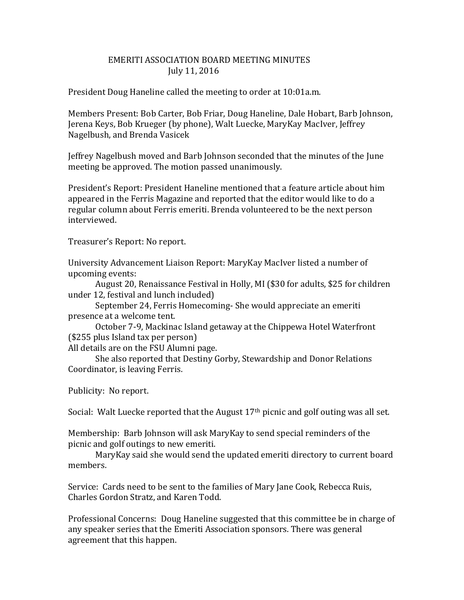## EMERITI ASSOCIATION BOARD MEETING MINUTES July 11, 2016

President Doug Haneline called the meeting to order at 10:01a.m.

Members Present: Bob Carter, Bob Friar, Doug Haneline, Dale Hobart, Barb Johnson, Jerena Keys, Bob Krueger (by phone), Walt Luecke, MaryKay MacIver, Jeffrey Nagelbush, and Brenda Vasicek

Jeffrey Nagelbush moved and Barb Johnson seconded that the minutes of the June meeting be approved. The motion passed unanimously.

President's Report: President Haneline mentioned that a feature article about him appeared in the Ferris Magazine and reported that the editor would like to do a regular column about Ferris emeriti. Brenda volunteered to be the next person interviewed.

Treasurer's Report: No report.

University Advancement Liaison Report: MaryKay MacIver listed a number of upcoming events:

August 20, Renaissance Festival in Holly, MI (\$30 for adults, \$25 for children under 12, festival and lunch included)

September 24, Ferris Homecoming- She would appreciate an emeriti presence at a welcome tent.

October 7-9, Mackinac Island getaway at the Chippewa Hotel Waterfront (\$255 plus Island tax per person)

All details are on the FSU Alumni page.

She also reported that Destiny Gorby, Stewardship and Donor Relations Coordinator, is leaving Ferris.

Publicity: No report.

Social: Walt Luecke reported that the August 17<sup>th</sup> picnic and golf outing was all set.

Membership: Barb Johnson will ask MaryKay to send special reminders of the picnic and golf outings to new emeriti.

MaryKay said she would send the updated emeriti directory to current board members.

Service: Cards need to be sent to the families of Mary Jane Cook, Rebecca Ruis, Charles Gordon Stratz, and Karen Todd.

Professional Concerns: Doug Haneline suggested that this committee be in charge of any speaker series that the Emeriti Association sponsors. There was general agreement that this happen.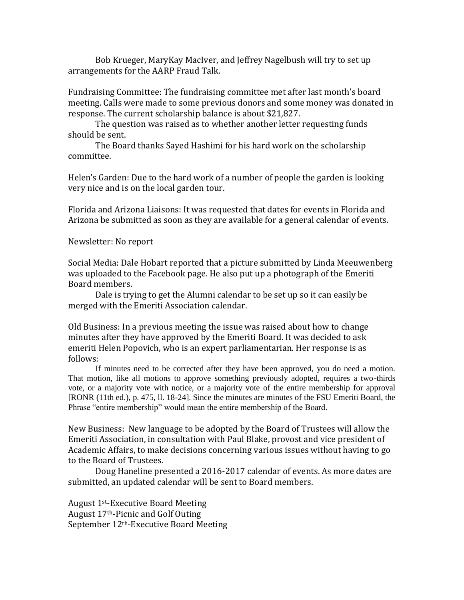Bob Krueger, MaryKay MacIver, and Jeffrey Nagelbush will try to set up arrangements for the AARP Fraud Talk.

Fundraising Committee: The fundraising committee met after last month's board meeting. Calls were made to some previous donors and some money was donated in response. The current scholarship balance is about \$21,827.

The question was raised as to whether another letter requesting funds should be sent.

The Board thanks Sayed Hashimi for his hard work on the scholarship committee.

Helen's Garden: Due to the hard work of a number of people the garden is looking very nice and is on the local garden tour.

Florida and Arizona Liaisons: It was requested that dates for events in Florida and Arizona be submitted as soon as they are available for a general calendar of events.

Newsletter: No report

Social Media: Dale Hobart reported that a picture submitted by Linda Meeuwenberg was uploaded to the Facebook page. He also put up a photograph of the Emeriti Board members.

Dale is trying to get the Alumni calendar to be set up so it can easily be merged with the Emeriti Association calendar.

Old Business: In a previous meeting the issue was raised about how to change minutes after they have approved by the Emeriti Board. It was decided to ask emeriti Helen Popovich, who is an expert parliamentarian. Her response is as follows:

If minutes need to be corrected after they have been approved, you do need a motion. That motion, like all motions to approve something previously adopted, requires a two-thirds vote, or a majority vote with notice, or a majority vote of the entire membership for approval [RONR (11th ed.), p. 475, ll. 18-24]. Since the minutes are minutes of the FSU Emeriti Board, the Phrase "entire membership" would mean the entire membership of the Board.

New Business: New language to be adopted by the Board of Trustees will allow the Emeriti Association, in consultation with Paul Blake, provost and vice president of Academic Affairs, to make decisions concerning various issues without having to go to the Board of Trustees.

Doug Haneline presented a 2016-2017 calendar of events. As more dates are submitted, an updated calendar will be sent to Board members.

August 1st-Executive Board Meeting August 17th-Picnic and Golf Outing September 12<sup>th</sup>-Executive Board Meeting